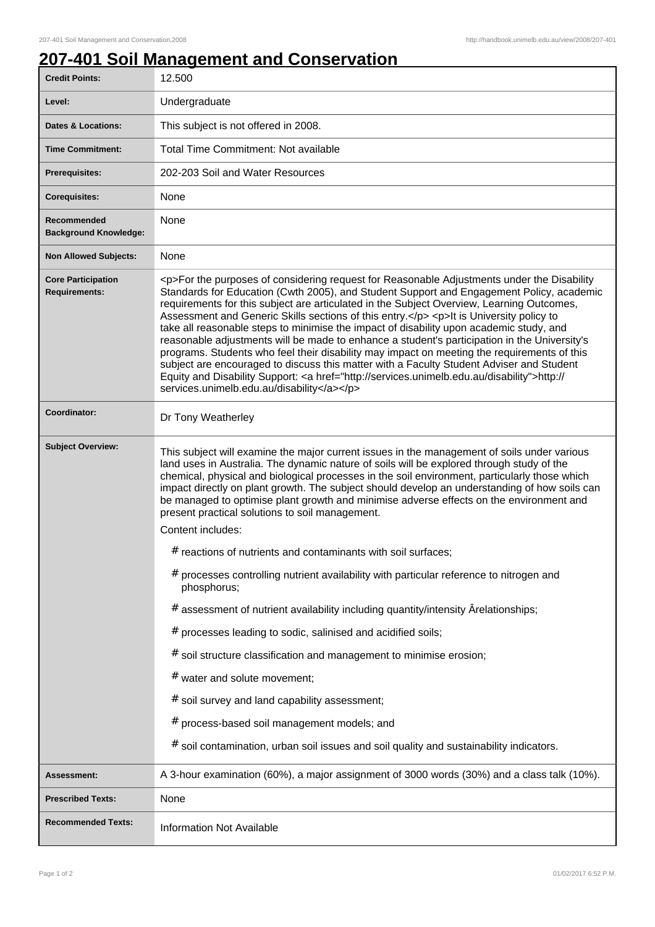## **207-401 Soil Management and Conservation**

| <b>Credit Points:</b>                       | 12.500                                                                                                                                                                                                                                                                                                                                                                                                                                                                                                                                                                                                                                                                                                                                                                                                                                                                                                                       |
|---------------------------------------------|------------------------------------------------------------------------------------------------------------------------------------------------------------------------------------------------------------------------------------------------------------------------------------------------------------------------------------------------------------------------------------------------------------------------------------------------------------------------------------------------------------------------------------------------------------------------------------------------------------------------------------------------------------------------------------------------------------------------------------------------------------------------------------------------------------------------------------------------------------------------------------------------------------------------------|
| Level:                                      | Undergraduate                                                                                                                                                                                                                                                                                                                                                                                                                                                                                                                                                                                                                                                                                                                                                                                                                                                                                                                |
| <b>Dates &amp; Locations:</b>               | This subject is not offered in 2008.                                                                                                                                                                                                                                                                                                                                                                                                                                                                                                                                                                                                                                                                                                                                                                                                                                                                                         |
| <b>Time Commitment:</b>                     | <b>Total Time Commitment: Not available</b>                                                                                                                                                                                                                                                                                                                                                                                                                                                                                                                                                                                                                                                                                                                                                                                                                                                                                  |
| <b>Prerequisites:</b>                       | 202-203 Soil and Water Resources                                                                                                                                                                                                                                                                                                                                                                                                                                                                                                                                                                                                                                                                                                                                                                                                                                                                                             |
| <b>Corequisites:</b>                        | None                                                                                                                                                                                                                                                                                                                                                                                                                                                                                                                                                                                                                                                                                                                                                                                                                                                                                                                         |
| Recommended<br><b>Background Knowledge:</b> | None                                                                                                                                                                                                                                                                                                                                                                                                                                                                                                                                                                                                                                                                                                                                                                                                                                                                                                                         |
| <b>Non Allowed Subjects:</b>                | None                                                                                                                                                                                                                                                                                                                                                                                                                                                                                                                                                                                                                                                                                                                                                                                                                                                                                                                         |
| <b>Core Participation</b><br>Requirements:  | <p>For the purposes of considering request for Reasonable Adjustments under the Disability<br/>Standards for Education (Cwth 2005), and Student Support and Engagement Policy, academic<br/>requirements for this subject are articulated in the Subject Overview, Learning Outcomes,<br/>Assessment and Generic Skills sections of this entry.</p> <p>lt is University policy to<br/>take all reasonable steps to minimise the impact of disability upon academic study, and<br/>reasonable adjustments will be made to enhance a student's participation in the University's<br/>programs. Students who feel their disability may impact on meeting the requirements of this<br/>subject are encouraged to discuss this matter with a Faculty Student Adviser and Student<br/>Equity and Disability Support: &lt; a href="http://services.unimelb.edu.au/disability"&gt;http://<br/>services.unimelb.edu.au/disability</p> |
| Coordinator:                                | Dr Tony Weatherley                                                                                                                                                                                                                                                                                                                                                                                                                                                                                                                                                                                                                                                                                                                                                                                                                                                                                                           |
| <b>Subject Overview:</b>                    | This subject will examine the major current issues in the management of soils under various<br>land uses in Australia. The dynamic nature of soils will be explored through study of the<br>chemical, physical and biological processes in the soil environment, particularly those which<br>impact directly on plant growth. The subject should develop an understanding of how soils can<br>be managed to optimise plant growth and minimise adverse effects on the environment and<br>present practical solutions to soil management.<br>Content includes:                                                                                                                                                                                                                                                                                                                                                                |
|                                             | $#$ reactions of nutrients and contaminants with soil surfaces;                                                                                                                                                                                                                                                                                                                                                                                                                                                                                                                                                                                                                                                                                                                                                                                                                                                              |
|                                             | processes controlling nutrient availability with particular reference to nitrogen and<br>#<br>phosphorus;                                                                                                                                                                                                                                                                                                                                                                                                                                                                                                                                                                                                                                                                                                                                                                                                                    |
|                                             | $#$ assessment of nutrient availability including quantity/intensity $\hat{A}$ relationships;                                                                                                                                                                                                                                                                                                                                                                                                                                                                                                                                                                                                                                                                                                                                                                                                                                |
|                                             | processes leading to sodic, salinised and acidified soils;<br>#                                                                                                                                                                                                                                                                                                                                                                                                                                                                                                                                                                                                                                                                                                                                                                                                                                                              |
|                                             | $#$ soil structure classification and management to minimise erosion;                                                                                                                                                                                                                                                                                                                                                                                                                                                                                                                                                                                                                                                                                                                                                                                                                                                        |
|                                             | # water and solute movement;                                                                                                                                                                                                                                                                                                                                                                                                                                                                                                                                                                                                                                                                                                                                                                                                                                                                                                 |
|                                             | # soil survey and land capability assessment;                                                                                                                                                                                                                                                                                                                                                                                                                                                                                                                                                                                                                                                                                                                                                                                                                                                                                |
|                                             | process-based soil management models; and<br>#                                                                                                                                                                                                                                                                                                                                                                                                                                                                                                                                                                                                                                                                                                                                                                                                                                                                               |
|                                             | $#$ soil contamination, urban soil issues and soil quality and sustainability indicators.                                                                                                                                                                                                                                                                                                                                                                                                                                                                                                                                                                                                                                                                                                                                                                                                                                    |
| Assessment:                                 | A 3-hour examination (60%), a major assignment of 3000 words (30%) and a class talk (10%).                                                                                                                                                                                                                                                                                                                                                                                                                                                                                                                                                                                                                                                                                                                                                                                                                                   |
| <b>Prescribed Texts:</b>                    | None                                                                                                                                                                                                                                                                                                                                                                                                                                                                                                                                                                                                                                                                                                                                                                                                                                                                                                                         |
| <b>Recommended Texts:</b>                   | <b>Information Not Available</b>                                                                                                                                                                                                                                                                                                                                                                                                                                                                                                                                                                                                                                                                                                                                                                                                                                                                                             |